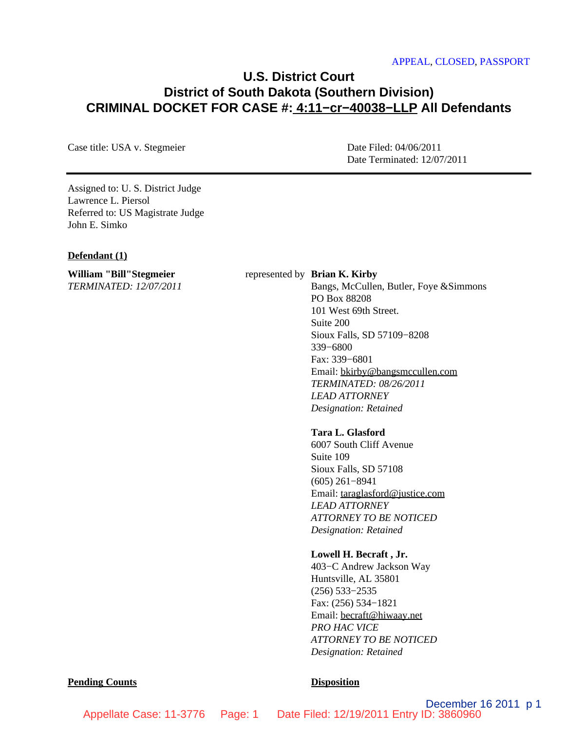# **U.S. District Court District of South Dakota (Southern Division) CRIMINAL DOCKET FOR CASE #: 4:11−cr−40038−LLP All Defendants**

Case title: USA v. Stegmeier Date Filed: 04/06/2011

Date Terminated: 12/07/2011

Assigned to: U. S. District Judge Lawrence L. Piersol Referred to: US Magistrate Judge John E. Simko

#### **Defendant (1)**

**William "Bill"Stegmeier** *TERMINATED: 12/07/2011* represented by **Brian K. Kirby**

Bangs, McCullen, Butler, Foye &Simmons PO Box 88208 101 West 69th Street. Suite 200 Sioux Falls, SD 57109−8208 339−6800 Fax: 339−6801 Email: bkirby@bangsmccullen.com *TERMINATED: 08/26/2011 LEAD ATTORNEY Designation: Retained*

# **Tara L. Glasford**

6007 South Cliff Avenue Suite 109 Sioux Falls, SD 57108 (605) 261−8941 Email: taraglasford@justice.com *LEAD ATTORNEY ATTORNEY TO BE NOTICED Designation: Retained*

# **Lowell H. Becraft , Jr.**

403−C Andrew Jackson Way Huntsville, AL 35801 (256) 533−2535 Fax: (256) 534−1821 Email: becraft@hiwaay.net *PRO HAC VICE ATTORNEY TO BE NOTICED Designation: Retained*

#### **Pending Counts Disposition**

December 16 2011 p 1 Appellate Case: 11-3776 Page: 1 Date Filed: 12/19/2011 Entry ID: 3860960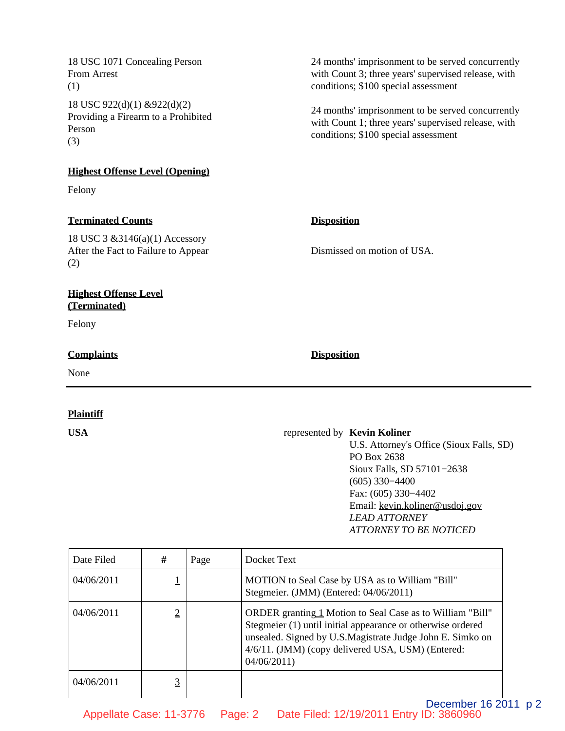18 USC 1071 Concealing Person From Arrest (1) 18 USC 922(d)(1) &922(d)(2) Providing a Firearm to a Prohibited Person (3)

## **Highest Offense Level (Opening)**

Felony

# **Terminated Counts Disposition**

18 USC 3 &3146(a)(1) Accessory After the Fact to Failure to Appear (2)

# **Highest Offense Level (Terminated)**

Felony

# **Complaints Disposition**

None

# **Plaintiff**

24 months' imprisonment to be served concurrently with Count 3; three years' supervised release, with conditions; \$100 special assessment

24 months' imprisonment to be served concurrently with Count 1; three years' supervised release, with conditions; \$100 special assessment

Dismissed on motion of USA.

# **USA** represented by **Kevin Koliner**

U.S. Attorney's Office (Sioux Falls, SD) PO Box 2638 Sioux Falls, SD 57101−2638 (605) 330−4400 Fax: (605) 330−4402 Email: kevin.koliner@usdoj.gov *LEAD ATTORNEY ATTORNEY TO BE NOTICED*

| Date Filed | #              | Page | Docket Text                                                                                                                                                                                                                                              |  |
|------------|----------------|------|----------------------------------------------------------------------------------------------------------------------------------------------------------------------------------------------------------------------------------------------------------|--|
| 04/06/2011 |                |      | MOTION to Seal Case by USA as to William "Bill"<br>Stegmeier. (JMM) (Entered: 04/06/2011)                                                                                                                                                                |  |
| 04/06/2011 | $\overline{2}$ |      | ORDER granting 1 Motion to Seal Case as to William "Bill"<br>Stegmeier (1) until initial appearance or otherwise ordered<br>unsealed. Signed by U.S.Magistrate Judge John E. Simko on<br>4/6/11. (JMM) (copy delivered USA, USM) (Entered:<br>04/06/2011 |  |
| 04/06/2011 |                |      |                                                                                                                                                                                                                                                          |  |
|            |                |      | December 16 2011                                                                                                                                                                                                                                         |  |

Appellate Case: 11-3776 Page: 2 Date Filed: 12/19/2011 Entry ID: 3860960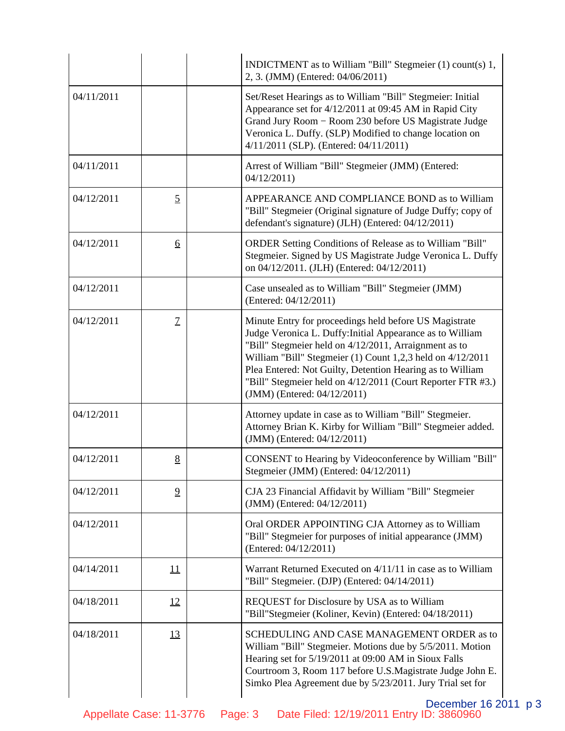|            |                  | INDICTMENT as to William "Bill" Stegmeier (1) count(s) 1,<br>2, 3. (JMM) (Entered: 04/06/2011)                                                                                                                                                                                                                                                                                                        |
|------------|------------------|-------------------------------------------------------------------------------------------------------------------------------------------------------------------------------------------------------------------------------------------------------------------------------------------------------------------------------------------------------------------------------------------------------|
| 04/11/2011 |                  | Set/Reset Hearings as to William "Bill" Stegmeier: Initial<br>Appearance set for 4/12/2011 at 09:45 AM in Rapid City<br>Grand Jury Room - Room 230 before US Magistrate Judge<br>Veronica L. Duffy. (SLP) Modified to change location on<br>4/11/2011 (SLP). (Entered: 04/11/2011)                                                                                                                    |
| 04/11/2011 |                  | Arrest of William "Bill" Stegmeier (JMM) (Entered:<br>04/12/2011                                                                                                                                                                                                                                                                                                                                      |
| 04/12/2011 | $\overline{2}$   | APPEARANCE AND COMPLIANCE BOND as to William<br>"Bill" Stegmeier (Original signature of Judge Duffy; copy of<br>defendant's signature) (JLH) (Entered: 04/12/2011)                                                                                                                                                                                                                                    |
| 04/12/2011 | $6 \overline{6}$ | ORDER Setting Conditions of Release as to William "Bill"<br>Stegmeier. Signed by US Magistrate Judge Veronica L. Duffy<br>on 04/12/2011. (JLH) (Entered: 04/12/2011)                                                                                                                                                                                                                                  |
| 04/12/2011 |                  | Case unsealed as to William "Bill" Stegmeier (JMM)<br>(Entered: 04/12/2011)                                                                                                                                                                                                                                                                                                                           |
| 04/12/2011 | $\mathcal{I}$    | Minute Entry for proceedings held before US Magistrate<br>Judge Veronica L. Duffy: Initial Appearance as to William<br>"Bill" Stegmeier held on 4/12/2011, Arraignment as to<br>William "Bill" Stegmeier (1) Count 1,2,3 held on 4/12/2011<br>Plea Entered: Not Guilty, Detention Hearing as to William<br>"Bill" Stegmeier held on 4/12/2011 (Court Reporter FTR #3.)<br>(JMM) (Entered: 04/12/2011) |
| 04/12/2011 |                  | Attorney update in case as to William "Bill" Stegmeier.<br>Attorney Brian K. Kirby for William "Bill" Stegmeier added.<br>(JMM) (Entered: 04/12/2011)                                                                                                                                                                                                                                                 |
| 04/12/2011 | 8                | CONSENT to Hearing by Videoconference by William "Bill"<br>Stegmeier (JMM) (Entered: 04/12/2011)                                                                                                                                                                                                                                                                                                      |
| 04/12/2011 | $\overline{9}$   | CJA 23 Financial Affidavit by William "Bill" Stegmeier<br>(JMM) (Entered: 04/12/2011)                                                                                                                                                                                                                                                                                                                 |
| 04/12/2011 |                  | Oral ORDER APPOINTING CJA Attorney as to William<br>"Bill" Stegmeier for purposes of initial appearance (JMM)<br>(Entered: 04/12/2011)                                                                                                                                                                                                                                                                |
| 04/14/2011 | 11               | Warrant Returned Executed on 4/11/11 in case as to William<br>"Bill" Stegmeier. (DJP) (Entered: 04/14/2011)                                                                                                                                                                                                                                                                                           |
| 04/18/2011 | <u>12</u>        | REQUEST for Disclosure by USA as to William<br>"Bill"Stegmeier (Koliner, Kevin) (Entered: 04/18/2011)                                                                                                                                                                                                                                                                                                 |
| 04/18/2011 | <u>13</u>        | SCHEDULING AND CASE MANAGEMENT ORDER as to<br>William "Bill" Stegmeier. Motions due by 5/5/2011. Motion<br>Hearing set for 5/19/2011 at 09:00 AM in Sioux Falls<br>Courtroom 3, Room 117 before U.S.Magistrate Judge John E.<br>Simko Plea Agreement due by 5/23/2011. Jury Trial set for                                                                                                             |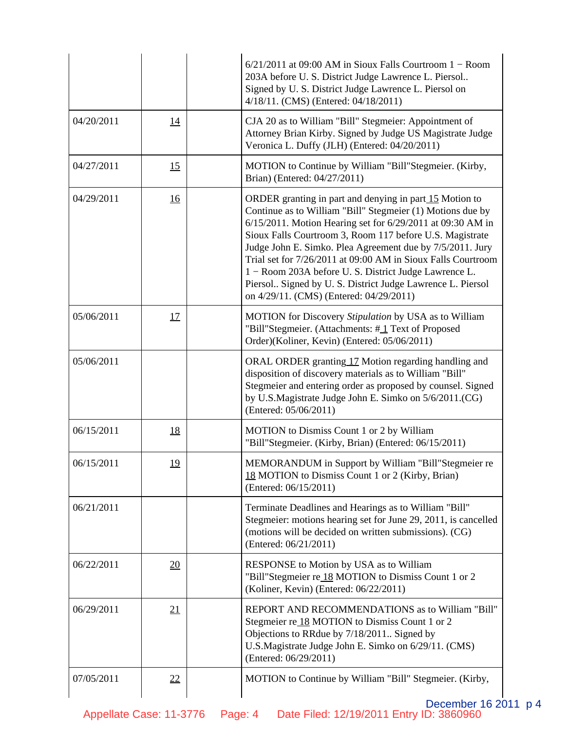|            |                  | $6/21/2011$ at 09:00 AM in Sioux Falls Courtroom $1 -$ Room<br>203A before U. S. District Judge Lawrence L. Piersol<br>Signed by U.S. District Judge Lawrence L. Piersol on<br>4/18/11. (CMS) (Entered: 04/18/2011)                                                                                                                                                                                                                                                                                                                          |
|------------|------------------|----------------------------------------------------------------------------------------------------------------------------------------------------------------------------------------------------------------------------------------------------------------------------------------------------------------------------------------------------------------------------------------------------------------------------------------------------------------------------------------------------------------------------------------------|
| 04/20/2011 | <u>14</u>        | CJA 20 as to William "Bill" Stegmeier: Appointment of<br>Attorney Brian Kirby. Signed by Judge US Magistrate Judge<br>Veronica L. Duffy (JLH) (Entered: 04/20/2011)                                                                                                                                                                                                                                                                                                                                                                          |
| 04/27/2011 | 15               | MOTION to Continue by William "Bill"Stegmeier. (Kirby,<br>Brian) (Entered: 04/27/2011)                                                                                                                                                                                                                                                                                                                                                                                                                                                       |
| 04/29/2011 | <u>16</u>        | ORDER granting in part and denying in part 15 Motion to<br>Continue as to William "Bill" Stegmeier (1) Motions due by<br>6/15/2011. Motion Hearing set for 6/29/2011 at 09:30 AM in<br>Sioux Falls Courtroom 3, Room 117 before U.S. Magistrate<br>Judge John E. Simko. Plea Agreement due by 7/5/2011. Jury<br>Trial set for 7/26/2011 at 09:00 AM in Sioux Falls Courtroom<br>1 – Room 203A before U.S. District Judge Lawrence L.<br>Piersol Signed by U.S. District Judge Lawrence L. Piersol<br>on 4/29/11. (CMS) (Entered: 04/29/2011) |
| 05/06/2011 | 17               | MOTION for Discovery Stipulation by USA as to William<br>"Bill"Stegmeier. (Attachments: #1 Text of Proposed<br>Order)(Koliner, Kevin) (Entered: 05/06/2011)                                                                                                                                                                                                                                                                                                                                                                                  |
| 05/06/2011 |                  | ORAL ORDER granting 17 Motion regarding handling and<br>disposition of discovery materials as to William "Bill"<br>Stegmeier and entering order as proposed by counsel. Signed<br>by U.S.Magistrate Judge John E. Simko on 5/6/2011.(CG)<br>(Entered: 05/06/2011)                                                                                                                                                                                                                                                                            |
| 06/15/2011 | <u>18</u>        | MOTION to Dismiss Count 1 or 2 by William<br>"Bill"Stegmeier. (Kirby, Brian) (Entered: 06/15/2011)                                                                                                                                                                                                                                                                                                                                                                                                                                           |
| 06/15/2011 | 19               | MEMORANDUM in Support by William "Bill"Stegmeier re<br>18 MOTION to Dismiss Count 1 or 2 (Kirby, Brian)<br>(Entered: 06/15/2011)                                                                                                                                                                                                                                                                                                                                                                                                             |
| 06/21/2011 |                  | Terminate Deadlines and Hearings as to William "Bill"<br>Stegmeier: motions hearing set for June 29, 2011, is cancelled<br>(motions will be decided on written submissions). (CG)<br>(Entered: 06/21/2011)                                                                                                                                                                                                                                                                                                                                   |
| 06/22/2011 | $\underline{20}$ | RESPONSE to Motion by USA as to William<br>"Bill"Stegmeier re 18 MOTION to Dismiss Count 1 or 2<br>(Koliner, Kevin) (Entered: 06/22/2011)                                                                                                                                                                                                                                                                                                                                                                                                    |
| 06/29/2011 | 21               | REPORT AND RECOMMENDATIONS as to William "Bill"<br>Stegmeier re_18 MOTION to Dismiss Count 1 or 2<br>Objections to RRdue by 7/18/2011. Signed by<br>U.S.Magistrate Judge John E. Simko on 6/29/11. (CMS)<br>(Entered: 06/29/2011)                                                                                                                                                                                                                                                                                                            |
| 07/05/2011 | 22               | MOTION to Continue by William "Bill" Stegmeier. (Kirby,                                                                                                                                                                                                                                                                                                                                                                                                                                                                                      |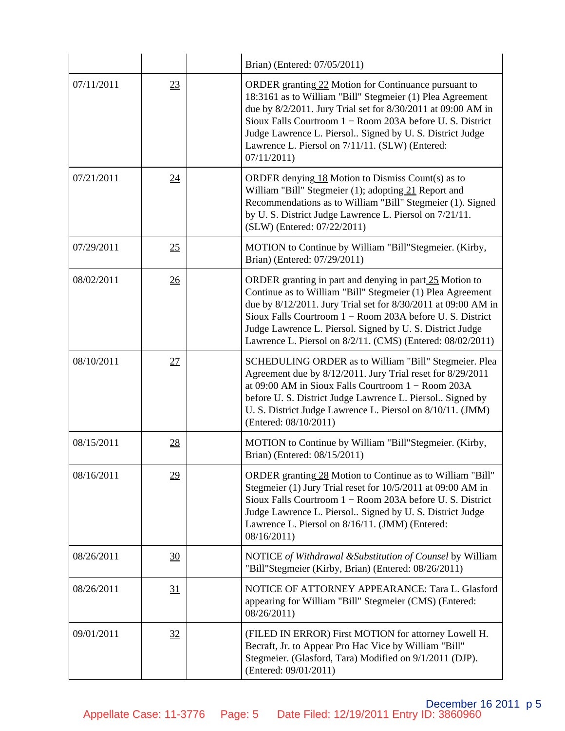|            |    | Brian) (Entered: 07/05/2011)                                                                                                                                                                                                                                                                                                                                                  |
|------------|----|-------------------------------------------------------------------------------------------------------------------------------------------------------------------------------------------------------------------------------------------------------------------------------------------------------------------------------------------------------------------------------|
| 07/11/2011 | 23 | ORDER granting 22 Motion for Continuance pursuant to<br>18:3161 as to William "Bill" Stegmeier (1) Plea Agreement<br>due by 8/2/2011. Jury Trial set for 8/30/2011 at 09:00 AM in<br>Sioux Falls Courtroom 1 – Room 203A before U. S. District<br>Judge Lawrence L. Piersol Signed by U. S. District Judge<br>Lawrence L. Piersol on 7/11/11. (SLW) (Entered:<br>07/11/2011   |
| 07/21/2011 | 24 | ORDER denying $18$ Motion to Dismiss Count(s) as to<br>William "Bill" Stegmeier (1); adopting 21 Report and<br>Recommendations as to William "Bill" Stegmeier (1). Signed<br>by U.S. District Judge Lawrence L. Piersol on 7/21/11.<br>(SLW) (Entered: 07/22/2011)                                                                                                            |
| 07/29/2011 | 25 | MOTION to Continue by William "Bill"Stegmeier. (Kirby,<br>Brian) (Entered: 07/29/2011)                                                                                                                                                                                                                                                                                        |
| 08/02/2011 | 26 | ORDER granting in part and denying in part 25 Motion to<br>Continue as to William "Bill" Stegmeier (1) Plea Agreement<br>due by 8/12/2011. Jury Trial set for 8/30/2011 at 09:00 AM in<br>Sioux Falls Courtroom 1 – Room 203A before U. S. District<br>Judge Lawrence L. Piersol. Signed by U.S. District Judge<br>Lawrence L. Piersol on 8/2/11. (CMS) (Entered: 08/02/2011) |
| 08/10/2011 | 27 | SCHEDULING ORDER as to William "Bill" Stegmeier. Plea<br>Agreement due by 8/12/2011. Jury Trial reset for 8/29/2011<br>at 09:00 AM in Sioux Falls Courtroom $1 -$ Room 203A<br>before U.S. District Judge Lawrence L. Piersol Signed by<br>U. S. District Judge Lawrence L. Piersol on 8/10/11. (JMM)<br>(Entered: 08/10/2011)                                                |
| 08/15/2011 | 28 | MOTION to Continue by William "Bill"Stegmeier. (Kirby,<br>Brian) (Entered: 08/15/2011)                                                                                                                                                                                                                                                                                        |
| 08/16/2011 | 29 | ORDER granting 28 Motion to Continue as to William "Bill"<br>Stegmeier (1) Jury Trial reset for 10/5/2011 at 09:00 AM in<br>Sioux Falls Courtroom 1 - Room 203A before U.S. District<br>Judge Lawrence L. Piersol Signed by U.S. District Judge<br>Lawrence L. Piersol on 8/16/11. (JMM) (Entered:<br>08/16/2011)                                                             |
| 08/26/2011 | 30 | NOTICE of Withdrawal & Substitution of Counsel by William<br>"Bill"Stegmeier (Kirby, Brian) (Entered: 08/26/2011)                                                                                                                                                                                                                                                             |
| 08/26/2011 | 31 | NOTICE OF ATTORNEY APPEARANCE: Tara L. Glasford<br>appearing for William "Bill" Stegmeier (CMS) (Entered:<br>08/26/2011                                                                                                                                                                                                                                                       |
| 09/01/2011 | 32 | (FILED IN ERROR) First MOTION for attorney Lowell H.<br>Becraft, Jr. to Appear Pro Hac Vice by William "Bill"<br>Stegmeier. (Glasford, Tara) Modified on 9/1/2011 (DJP).<br>(Entered: 09/01/2011)                                                                                                                                                                             |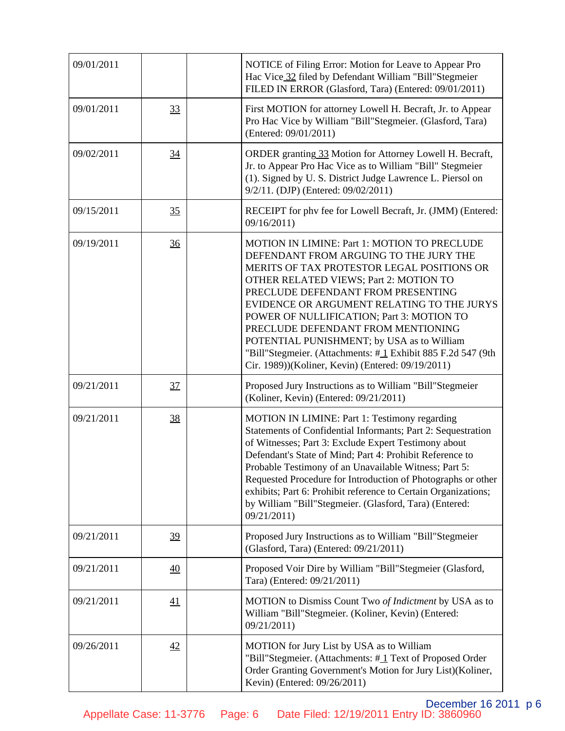| 09/01/2011 |                 | NOTICE of Filing Error: Motion for Leave to Appear Pro<br>Hac Vice 32 filed by Defendant William "Bill"Stegmeier<br>FILED IN ERROR (Glasford, Tara) (Entered: 09/01/2011)                                                                                                                                                                                                                                                                                                                                                      |
|------------|-----------------|--------------------------------------------------------------------------------------------------------------------------------------------------------------------------------------------------------------------------------------------------------------------------------------------------------------------------------------------------------------------------------------------------------------------------------------------------------------------------------------------------------------------------------|
| 09/01/2011 | 33              | First MOTION for attorney Lowell H. Becraft, Jr. to Appear<br>Pro Hac Vice by William "Bill"Stegmeier. (Glasford, Tara)<br>(Entered: 09/01/2011)                                                                                                                                                                                                                                                                                                                                                                               |
| 09/02/2011 | 34              | ORDER granting 33 Motion for Attorney Lowell H. Becraft,<br>Jr. to Appear Pro Hac Vice as to William "Bill" Stegmeier<br>(1). Signed by U.S. District Judge Lawrence L. Piersol on<br>9/2/11. (DJP) (Entered: 09/02/2011)                                                                                                                                                                                                                                                                                                      |
| 09/15/2011 | 35              | RECEIPT for phy fee for Lowell Becraft, Jr. (JMM) (Entered:<br>09/16/2011                                                                                                                                                                                                                                                                                                                                                                                                                                                      |
| 09/19/2011 | 36              | <b>MOTION IN LIMINE: Part 1: MOTION TO PRECLUDE</b><br>DEFENDANT FROM ARGUING TO THE JURY THE<br>MERITS OF TAX PROTESTOR LEGAL POSITIONS OR<br>OTHER RELATED VIEWS; Part 2: MOTION TO<br>PRECLUDE DEFENDANT FROM PRESENTING<br>EVIDENCE OR ARGUMENT RELATING TO THE JURYS<br>POWER OF NULLIFICATION; Part 3: MOTION TO<br>PRECLUDE DEFENDANT FROM MENTIONING<br>POTENTIAL PUNISHMENT; by USA as to William<br>"Bill"Stegmeier. (Attachments: #1 Exhibit 885 F.2d 547 (9th<br>Cir. 1989))(Koliner, Kevin) (Entered: 09/19/2011) |
| 09/21/2011 | 37              | Proposed Jury Instructions as to William "Bill"Stegmeier<br>(Koliner, Kevin) (Entered: 09/21/2011)                                                                                                                                                                                                                                                                                                                                                                                                                             |
| 09/21/2011 | 38              | MOTION IN LIMINE: Part 1: Testimony regarding<br>Statements of Confidential Informants; Part 2: Sequestration<br>of Witnesses; Part 3: Exclude Expert Testimony about<br>Defendant's State of Mind; Part 4: Prohibit Reference to<br>Probable Testimony of an Unavailable Witness; Part 5:<br>Requested Procedure for Introduction of Photographs or other<br>exhibits; Part 6: Prohibit reference to Certain Organizations;<br>by William "Bill"Stegmeier. (Glasford, Tara) (Entered:<br>09/21/2011)                          |
| 09/21/2011 | 39              | Proposed Jury Instructions as to William "Bill"Stegmeier<br>(Glasford, Tara) (Entered: 09/21/2011)                                                                                                                                                                                                                                                                                                                                                                                                                             |
| 09/21/2011 | $\overline{40}$ | Proposed Voir Dire by William "Bill"Stegmeier (Glasford,<br>Tara) (Entered: 09/21/2011)                                                                                                                                                                                                                                                                                                                                                                                                                                        |
| 09/21/2011 | 41              | MOTION to Dismiss Count Two of Indictment by USA as to<br>William "Bill"Stegmeier. (Koliner, Kevin) (Entered:<br>09/21/2011)                                                                                                                                                                                                                                                                                                                                                                                                   |
| 09/26/2011 | 42              | MOTION for Jury List by USA as to William<br>"Bill"Stegmeier. (Attachments: #1 Text of Proposed Order<br>Order Granting Government's Motion for Jury List)(Koliner,<br>Kevin) (Entered: 09/26/2011)                                                                                                                                                                                                                                                                                                                            |

December 16 2011 p 6 Appellate Case: 11-3776 Page: 6 Date Filed: 12/19/2011 Entry ID: 3860960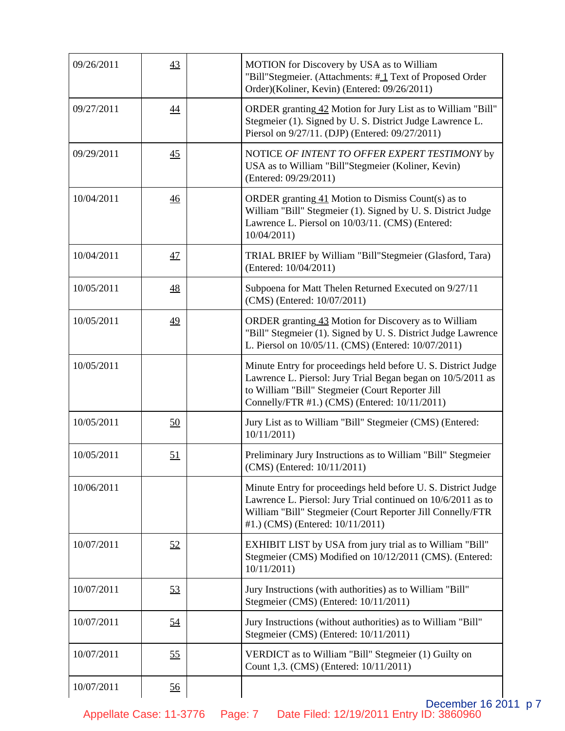| 09/26/2011 | 43              | MOTION for Discovery by USA as to William<br>"Bill"Stegmeier. (Attachments: #1 Text of Proposed Order<br>Order)(Koliner, Kevin) (Entered: 09/26/2011)                                                                            |
|------------|-----------------|----------------------------------------------------------------------------------------------------------------------------------------------------------------------------------------------------------------------------------|
| 09/27/2011 | 44              | ORDER granting 42 Motion for Jury List as to William "Bill"<br>Stegmeier (1). Signed by U.S. District Judge Lawrence L.<br>Piersol on 9/27/11. (DJP) (Entered: 09/27/2011)                                                       |
| 09/29/2011 | $\overline{45}$ | NOTICE OF INTENT TO OFFER EXPERT TESTIMONY by<br>USA as to William "Bill"Stegmeier (Koliner, Kevin)<br>(Entered: 09/29/2011)                                                                                                     |
| 10/04/2011 | $\overline{46}$ | ORDER granting $41$ Motion to Dismiss Count(s) as to<br>William "Bill" Stegmeier (1). Signed by U. S. District Judge<br>Lawrence L. Piersol on 10/03/11. (CMS) (Entered:<br>10/04/2011                                           |
| 10/04/2011 | 47              | TRIAL BRIEF by William "Bill"Stegmeier (Glasford, Tara)<br>(Entered: 10/04/2011)                                                                                                                                                 |
| 10/05/2011 | 48              | Subpoena for Matt Thelen Returned Executed on 9/27/11<br>(CMS) (Entered: 10/07/2011)                                                                                                                                             |
| 10/05/2011 | 49              | ORDER granting 43 Motion for Discovery as to William<br>"Bill" Stegmeier (1). Signed by U. S. District Judge Lawrence<br>L. Piersol on 10/05/11. (CMS) (Entered: 10/07/2011)                                                     |
| 10/05/2011 |                 | Minute Entry for proceedings held before U.S. District Judge<br>Lawrence L. Piersol: Jury Trial Began began on 10/5/2011 as<br>to William "Bill" Stegmeier (Court Reporter Jill<br>Connelly/FTR #1.) (CMS) (Entered: 10/11/2011) |
| 10/05/2011 | 50              | Jury List as to William "Bill" Stegmeier (CMS) (Entered:<br>10/11/2011                                                                                                                                                           |
| 10/05/2011 | 51              | Preliminary Jury Instructions as to William "Bill" Stegmeier<br>(CMS) (Entered: 10/11/2011)                                                                                                                                      |
| 10/06/2011 |                 | Minute Entry for proceedings held before U.S. District Judge<br>Lawrence L. Piersol: Jury Trial continued on 10/6/2011 as to<br>William "Bill" Stegmeier (Court Reporter Jill Connelly/FTR<br>#1.) (CMS) (Entered: 10/11/2011)   |
| 10/07/2011 | 52              | EXHIBIT LIST by USA from jury trial as to William "Bill"<br>Stegmeier (CMS) Modified on 10/12/2011 (CMS). (Entered:<br>10/11/2011                                                                                                |
| 10/07/2011 | 53              | Jury Instructions (with authorities) as to William "Bill"<br>Stegmeier (CMS) (Entered: 10/11/2011)                                                                                                                               |
| 10/07/2011 | 54              | Jury Instructions (without authorities) as to William "Bill"<br>Stegmeier (CMS) (Entered: 10/11/2011)                                                                                                                            |
| 10/07/2011 | 55              | VERDICT as to William "Bill" Stegmeier (1) Guilty on<br>Count 1,3. (CMS) (Entered: 10/11/2011)                                                                                                                                   |
| 10/07/2011 | 56              |                                                                                                                                                                                                                                  |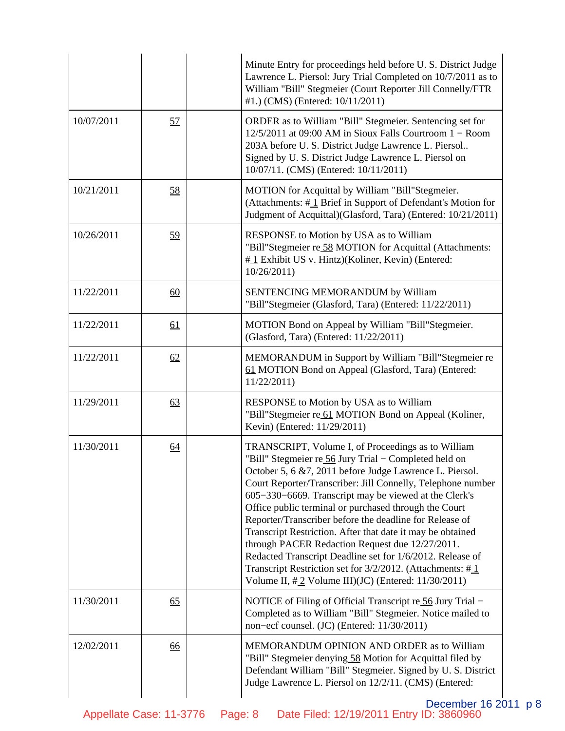|            |    | Minute Entry for proceedings held before U.S. District Judge<br>Lawrence L. Piersol: Jury Trial Completed on 10/7/2011 as to<br>William "Bill" Stegmeier (Court Reporter Jill Connelly/FTR<br>#1.) (CMS) (Entered: 10/11/2011)                                                                                                                                                                                                                                                                                                                                                                                                                                                                                            |
|------------|----|---------------------------------------------------------------------------------------------------------------------------------------------------------------------------------------------------------------------------------------------------------------------------------------------------------------------------------------------------------------------------------------------------------------------------------------------------------------------------------------------------------------------------------------------------------------------------------------------------------------------------------------------------------------------------------------------------------------------------|
| 10/07/2011 | 57 | ORDER as to William "Bill" Stegmeier. Sentencing set for<br>$12/5/2011$ at 09:00 AM in Sioux Falls Courtroom $1 -$ Room<br>203A before U.S. District Judge Lawrence L. Piersol<br>Signed by U.S. District Judge Lawrence L. Piersol on<br>10/07/11. (CMS) (Entered: 10/11/2011)                                                                                                                                                                                                                                                                                                                                                                                                                                           |
| 10/21/2011 | 58 | MOTION for Acquittal by William "Bill"Stegmeier.<br>(Attachments: #1 Brief in Support of Defendant's Motion for<br>Judgment of Acquittal)(Glasford, Tara) (Entered: 10/21/2011)                                                                                                                                                                                                                                                                                                                                                                                                                                                                                                                                           |
| 10/26/2011 | 59 | RESPONSE to Motion by USA as to William<br>"Bill"Stegmeier re 58 MOTION for Acquittal (Attachments:<br>#1 Exhibit US v. Hintz)(Koliner, Kevin) (Entered:<br>10/26/2011                                                                                                                                                                                                                                                                                                                                                                                                                                                                                                                                                    |
| 11/22/2011 | 60 | SENTENCING MEMORANDUM by William<br>"Bill"Stegmeier (Glasford, Tara) (Entered: 11/22/2011)                                                                                                                                                                                                                                                                                                                                                                                                                                                                                                                                                                                                                                |
| 11/22/2011 | 61 | MOTION Bond on Appeal by William "Bill"Stegmeier.<br>(Glasford, Tara) (Entered: 11/22/2011)                                                                                                                                                                                                                                                                                                                                                                                                                                                                                                                                                                                                                               |
| 11/22/2011 | 62 | MEMORANDUM in Support by William "Bill"Stegmeier re<br>61 MOTION Bond on Appeal (Glasford, Tara) (Entered:<br>11/22/2011                                                                                                                                                                                                                                                                                                                                                                                                                                                                                                                                                                                                  |
| 11/29/2011 | 63 | RESPONSE to Motion by USA as to William<br>"Bill"Stegmeier re 61 MOTION Bond on Appeal (Koliner,<br>Kevin) (Entered: 11/29/2011)                                                                                                                                                                                                                                                                                                                                                                                                                                                                                                                                                                                          |
| 11/30/2011 | 64 | TRANSCRIPT, Volume I, of Proceedings as to William<br>"Bill" Stegmeier re 56 Jury Trial - Completed held on<br>October 5, 6 & 7, 2011 before Judge Lawrence L. Piersol.<br>Court Reporter/Transcriber: Jill Connelly, Telephone number<br>605-330-6669. Transcript may be viewed at the Clerk's<br>Office public terminal or purchased through the Court<br>Reporter/Transcriber before the deadline for Release of<br>Transcript Restriction. After that date it may be obtained<br>through PACER Redaction Request due 12/27/2011.<br>Redacted Transcript Deadline set for 1/6/2012. Release of<br>Transcript Restriction set for 3/2/2012. (Attachments: #1<br>Volume II, $\#$ 2 Volume III)(JC) (Entered: 11/30/2011) |
| 11/30/2011 | 65 | NOTICE of Filing of Official Transcript re 56 Jury Trial -<br>Completed as to William "Bill" Stegmeier. Notice mailed to<br>non-ecf counsel. (JC) (Entered: 11/30/2011)                                                                                                                                                                                                                                                                                                                                                                                                                                                                                                                                                   |
| 12/02/2011 | 66 | MEMORANDUM OPINION AND ORDER as to William<br>"Bill" Stegmeier denying 58 Motion for Acquittal filed by<br>Defendant William "Bill" Stegmeier. Signed by U.S. District<br>Judge Lawrence L. Piersol on 12/2/11. (CMS) (Entered:                                                                                                                                                                                                                                                                                                                                                                                                                                                                                           |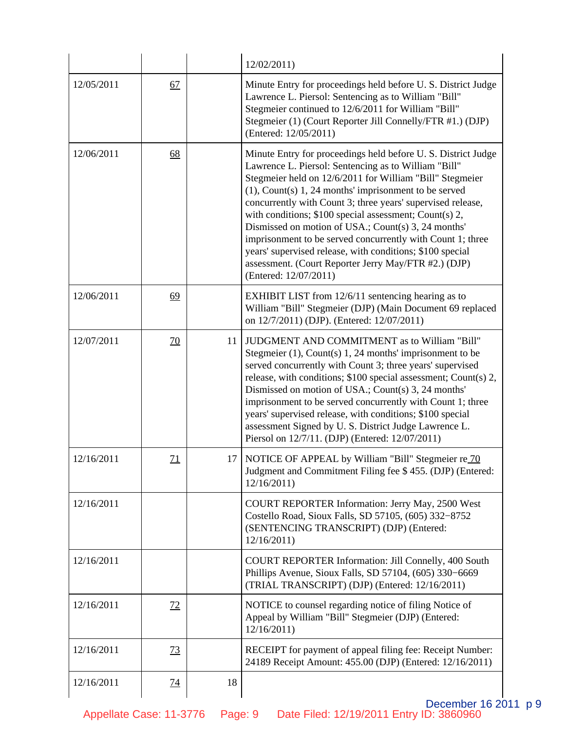|            |                 |    | 12/02/2011                                                                                                                                                                                                                                                                                                                                                                                                                                                                                                                                                                                                                                  |
|------------|-----------------|----|---------------------------------------------------------------------------------------------------------------------------------------------------------------------------------------------------------------------------------------------------------------------------------------------------------------------------------------------------------------------------------------------------------------------------------------------------------------------------------------------------------------------------------------------------------------------------------------------------------------------------------------------|
| 12/05/2011 | 67              |    | Minute Entry for proceedings held before U.S. District Judge<br>Lawrence L. Piersol: Sentencing as to William "Bill"<br>Stegmeier continued to 12/6/2011 for William "Bill"<br>Stegmeier (1) (Court Reporter Jill Connelly/FTR #1.) (DJP)<br>(Entered: 12/05/2011)                                                                                                                                                                                                                                                                                                                                                                          |
| 12/06/2011 | 68              |    | Minute Entry for proceedings held before U.S. District Judge<br>Lawrence L. Piersol: Sentencing as to William "Bill"<br>Stegmeier held on 12/6/2011 for William "Bill" Stegmeier<br>$(1)$ , Count $(s)$ 1, 24 months' imprisonment to be served<br>concurrently with Count 3; three years' supervised release,<br>with conditions; \$100 special assessment; Count(s) 2,<br>Dismissed on motion of USA.; Count(s) 3, 24 months'<br>imprisonment to be served concurrently with Count 1; three<br>years' supervised release, with conditions; \$100 special<br>assessment. (Court Reporter Jerry May/FTR #2.) (DJP)<br>(Entered: 12/07/2011) |
| 12/06/2011 | 69              |    | EXHIBIT LIST from 12/6/11 sentencing hearing as to<br>William "Bill" Stegmeier (DJP) (Main Document 69 replaced<br>on 12/7/2011) (DJP). (Entered: 12/07/2011)                                                                                                                                                                                                                                                                                                                                                                                                                                                                               |
| 12/07/2011 | <u>70</u>       | 11 | JUDGMENT AND COMMITMENT as to William "Bill"<br>Stegmeier (1), Count(s) 1, 24 months' imprisonment to be<br>served concurrently with Count 3; three years' supervised<br>release, with conditions; \$100 special assessment; Count(s) 2,<br>Dismissed on motion of USA.; Count(s) 3, 24 months'<br>imprisonment to be served concurrently with Count 1; three<br>years' supervised release, with conditions; \$100 special<br>assessment Signed by U.S. District Judge Lawrence L.<br>Piersol on 12/7/11. (DJP) (Entered: 12/07/2011)                                                                                                       |
| 12/16/2011 | $\overline{11}$ | 17 | NOTICE OF APPEAL by William "Bill" Stegmeier re 70<br>Judgment and Commitment Filing fee \$455. (DJP) (Entered:<br>12/16/2011                                                                                                                                                                                                                                                                                                                                                                                                                                                                                                               |
| 12/16/2011 |                 |    | COURT REPORTER Information: Jerry May, 2500 West<br>Costello Road, Sioux Falls, SD 57105, (605) 332-8752<br>(SENTENCING TRANSCRIPT) (DJP) (Entered:<br>12/16/2011                                                                                                                                                                                                                                                                                                                                                                                                                                                                           |
| 12/16/2011 |                 |    | <b>COURT REPORTER Information: Jill Connelly, 400 South</b><br>Phillips Avenue, Sioux Falls, SD 57104, (605) 330–6669<br>(TRIAL TRANSCRIPT) (DJP) (Entered: 12/16/2011)                                                                                                                                                                                                                                                                                                                                                                                                                                                                     |
| 12/16/2011 | 72              |    | NOTICE to counsel regarding notice of filing Notice of<br>Appeal by William "Bill" Stegmeier (DJP) (Entered:<br>12/16/2011                                                                                                                                                                                                                                                                                                                                                                                                                                                                                                                  |
| 12/16/2011 | <u>73</u>       |    | RECEIPT for payment of appeal filing fee: Receipt Number:<br>24189 Receipt Amount: 455.00 (DJP) (Entered: 12/16/2011)                                                                                                                                                                                                                                                                                                                                                                                                                                                                                                                       |
| 12/16/2011 | <u>74</u>       | 18 |                                                                                                                                                                                                                                                                                                                                                                                                                                                                                                                                                                                                                                             |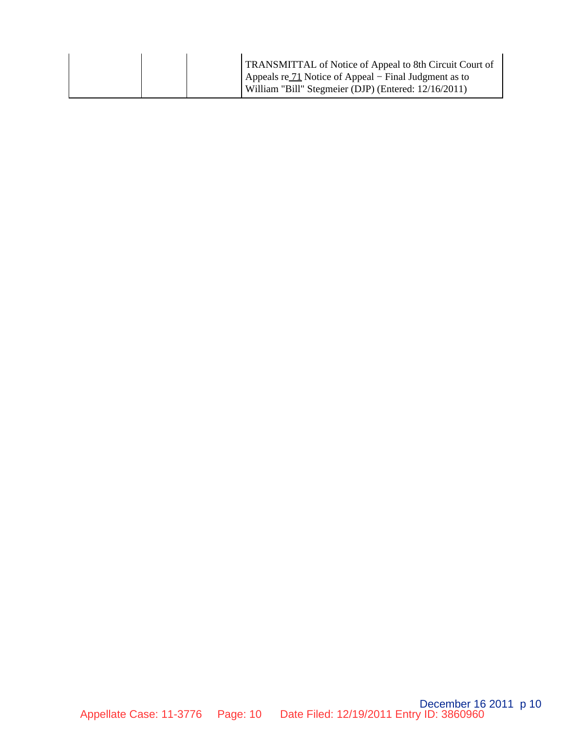|  | TRANSMITTAL of Notice of Appeal to 8th Circuit Court of<br>Appeals re $\frac{71}{10}$ Notice of Appeal – Final Judgment as to<br>William "Bill" Stegmeier (DJP) (Entered: 12/16/2011) |
|--|---------------------------------------------------------------------------------------------------------------------------------------------------------------------------------------|
|  |                                                                                                                                                                                       |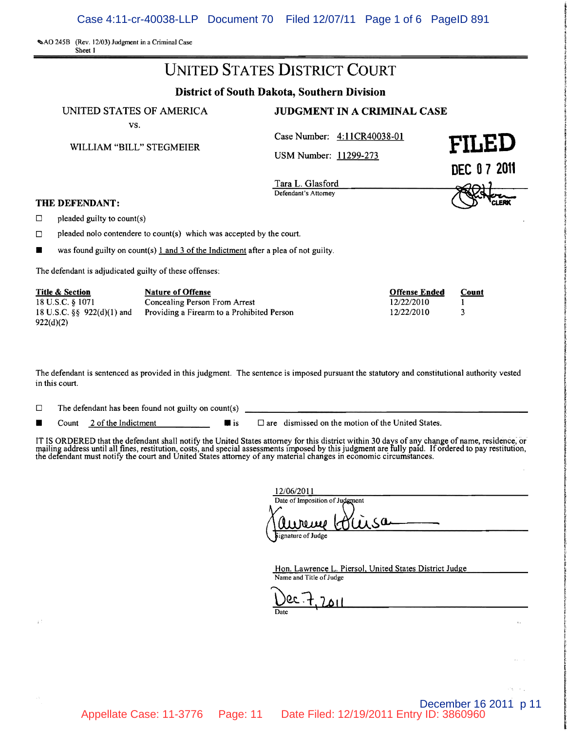SAO 245B (Rev. 12/03) Judgment in a Criminal C

| Sheet 1                                                                                       | SAU 245B (Rev. 12/03) Judgment in a Criminal Case                                                       |                                                      |                      |
|-----------------------------------------------------------------------------------------------|---------------------------------------------------------------------------------------------------------|------------------------------------------------------|----------------------|
|                                                                                               |                                                                                                         | <b>UNITED STATES DISTRICT COURT</b>                  |                      |
|                                                                                               |                                                                                                         | <b>District of South Dakota, Southern Division</b>   |                      |
|                                                                                               | UNITED STATES OF AMERICA                                                                                | <b>JUDGMENT IN A CRIMINAL CASE</b>                   |                      |
|                                                                                               | VS.<br>WILLIAM "BILL" STEGMEIER                                                                         | Case Number: 4:11CR40038-01<br>USM Number: 11299-273 | FILED<br>DEC 07 2011 |
| THE DEFENDANT:                                                                                |                                                                                                         | Tara L. Glasford<br>Defendant's Attorney             |                      |
| □<br>pleaded guilty to count(s)                                                               |                                                                                                         |                                                      |                      |
| □                                                                                             | pleaded not contendere to count(s) which was accepted by the court.                                     |                                                      |                      |
|                                                                                               | was found guilty on count(s) $1$ and $3$ of the Indictment after a plea of not guilty.                  |                                                      |                      |
|                                                                                               | The defendant is adjudicated guilty of these offenses:                                                  |                                                      |                      |
| <b>Title &amp; Section</b><br>18 U.S.C. § 1071<br>18 U.S.C. $\S\S$ 922(d)(1) and<br>922(d)(2) | <b>Nature of Offense</b><br>Concealing Person From Arrest<br>Providing a Firearm to a Prohibited Person | <b>Offense Ended</b><br>12/22/2010<br>12/22/2010     | Count<br>3           |

The defendant is sentenced as provided in this judgment. The sentence is imposed pursuant the statutory and constitutional authority vested in this court.

| The defendant has been found not guilty on count(s) | □ |  |  |  |  |  |  |
|-----------------------------------------------------|---|--|--|--|--|--|--|
|-----------------------------------------------------|---|--|--|--|--|--|--|

**• Count** 2 of the Indictment **D** are dismissed on the motion of the United States.

IT IS ORDERED that the defendant shall notify the United States attorney for this district within 30 days of any change of name, residence, or<br>mailing address until all fines, restitution, costs, and special assessments im the defendant must notify the court and United States attorney of any material changes in economic circumstances.

| 12/06/2011                     |  |
|--------------------------------|--|
| Date of Imposition of Judgment |  |
| rece<br>usa                    |  |
| Signature of Judge             |  |

December 16 2011 p 11

 $\alpha^2\eta^2\rightarrow\alpha^2\eta$ 

Hon. Lawrence L. Piersol, United States District Judge Name and Title of Judge

ec : + ΔI

Appellate Case: 11-3776 Page: 11 Date Filed: 12/19/2011 Entry ID: 3860960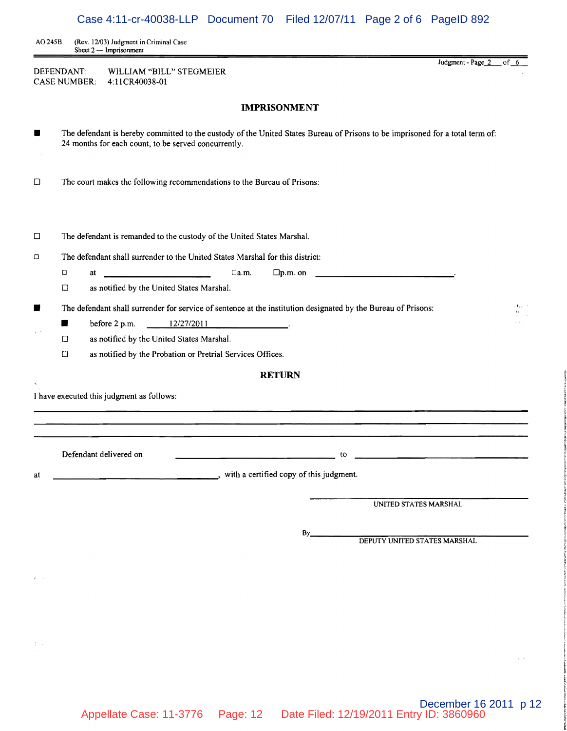AO 245B (Rev. 12/03) Judgment in Criminal Case Sheet 2 - Imprisonment

DEFENDANT: WILLIAM "BILL" STEGMEIER CASE NUMBER: 4: 11 CR40038-01

**IMPRISONMENT** 

| ш      | The defendant is hereby committed to the custody of the United States Bureau of Prisons to be imprisoned for a total term of:<br>24 months for each count, to be served concurrently. |                            |
|--------|---------------------------------------------------------------------------------------------------------------------------------------------------------------------------------------|----------------------------|
| $\Box$ | The court makes the following recommendations to the Bureau of Prisons:                                                                                                               |                            |
| □      | The defendant is remanded to the custody of the United States Marshal.                                                                                                                |                            |
| Ο      | The defendant shall surrender to the United States Marshal for this district:                                                                                                         |                            |
|        | $\Box$ a.m.<br>$\Box$ p.m. on<br>О                                                                                                                                                    |                            |
|        | as notified by the United States Marshal.<br>□                                                                                                                                        |                            |
| ■      | The defendant shall surrender for service of sentence at the institution designated by the Bureau of Prisons:                                                                         | ŧ.,<br>$\Omega_{\rm{max}}$ |
|        | before 2 p.m.<br>12/27/2011                                                                                                                                                           |                            |
|        | as notified by the United States Marshal.<br>□                                                                                                                                        |                            |
|        | as notified by the Probation or Pretrial Services Offices.<br>$\Box$                                                                                                                  |                            |
|        | <b>RETURN</b>                                                                                                                                                                         |                            |
|        | I have executed this judgment as follows:<br>Defendant delivered on<br>to                                                                                                             |                            |
| at     | with a certified copy of this judgment.                                                                                                                                               |                            |
|        |                                                                                                                                                                                       |                            |
|        | UNITED STATES MARSHAL                                                                                                                                                                 |                            |
|        | By.<br>DEPUTY UNITED STATES MARSHAL                                                                                                                                                   |                            |
|        |                                                                                                                                                                                       |                            |
|        |                                                                                                                                                                                       |                            |
|        |                                                                                                                                                                                       |                            |

December 16 2011 p 12

 $\mathbb{Z}^{\times}$  .

 $\tau \rightarrow -\tau \tau$ 

¥

Judgment - Page\_2\_of\_6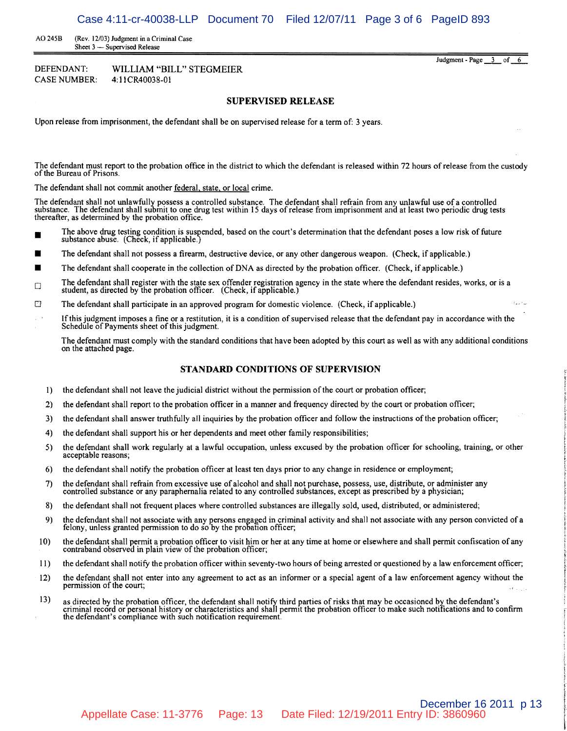AD 245B (Rev. 12/03) Judgment in a Criminal Case Sheet 3 - Supervised Release

DEFENDANT: WILLIAM "BILL" STEGMEIER CASE NUMBER: 4: 11 CR40038-01

Judgment - Page 3 of 6

 $\mathcal{V}_{\Delta, \Delta}$  with

#### **SUPERVISED RELEASE**

Upon release from imprisonment, the defendant shall be on supervised release for a term of: 3 years.

The defendant must report to the probation office in the district to which the defendant is released within 72 hours ofrelease from the custody of the Bureau of Prisons.

The defendant shall not commit another federal, state, or local crime.

The defendant shall not unlawfully possess a controlled substance. The defendant shall refrain from any' unlawful use of a controlled substance. The defendant shall submit to one drug test within 15 days of release from imprisonment and at least two periodic drug tests thereafter, as determined by the probation office.

- The above drug testing condition is suspended, based on the court's determination that the defendant poses a low risk of future substance abuse. (Check, if applicable.)
- The defendant shall not possess a firearm, destructive device, or any other dangerous weapon. (Check, if applicable.)
- The defendant shall cooperate in the collection of DNA as directed by the probation officer. (Check, if applicable.)
- The defendant shall register with the state sex offender registration agency in the state where the defendant resides, works, or is a student, as directed by the probation officer. (Check, if applicable.)
- $\Box$  The defendant shall participate in an approved program for domestic violence. (Check, if applicable.)
- Ifthis judgment imposes a fine or a restitution, it is a condition of supervised release that the defendant pay in accordance with the Schedule of Payments sheet of this judgment.

The defendant must comply with the standard conditions that have been adopted by this court as well as with any additional conditions on the attached page.

#### **STANDARD CONDITIONS OF SUPERVISION**

- I) the defendant shall not leave the judicial district without the permission ofthe court or probation officer;
- 2) the defendant shall report to the probation officer in a manner and frequency directed by the court or probation officer;
- 3) the defendant shall answer truthfully all inquiries by the probation officer and follow the instructions ofthe probation officer;
- 4) the defendant shall support his or her dependents and meet other family responsibilities;
- 5) the defendant shall work regularly at a lawful occupation, unless excused by the probation officer for schooling, training, or other acceptable reasons;
- 6) the defendant shall notify the probation officer at least ten days prior to any change in residence or employment;
- 7) the defendant shall refrain from excessive use of alcohol and shall not purchase, possess, use, distribute, or administer any controlled substance or any paraphernalia related to any controlled substances, except as prescribed by a physician;
- 8) the defendant shall not frequent places where controlled substances are illegally sold, used, distributed, or administered;
- 9) the defendant shall not associate with any persons engaged in criminal activity and shall not associate with any person convicted of a felony, unless granted permission to do so by the probation officer;
- 10) the defendant shall permit a probation officer to visit him or her at any time at home or elsewhere and shall permit confiscation of any contraband observed in plain view of the probation officer;
- il) the defendant shall notify the probation officer within seventy-two hours of being arrested or questioned by a law enforcement officer;
- 12) the defendant shall not enter into any agreement to act as an informer or a special agent of a law enforcement agency without the permission of the court;
- the defendant shall retrain from excessive use of aconot and shall not purenase, possess, use, distributed, or administered;<br>controlled substance or any paraphermalia related to any controlled substances, except as prescri 13) as directed by the probation officer, the defendant shall notify third parties of risks that may be occasioned by the defendant's criminal record or personal history or characteristics and shall permit the probation officer to make such notifications and to confirm the defendant's compliance with such notification requirement.

December 16 2011 p 13 Appellate Case: 11-3776 Page: 13 Date Filed: 12/19/2011 Entry ID: 3860960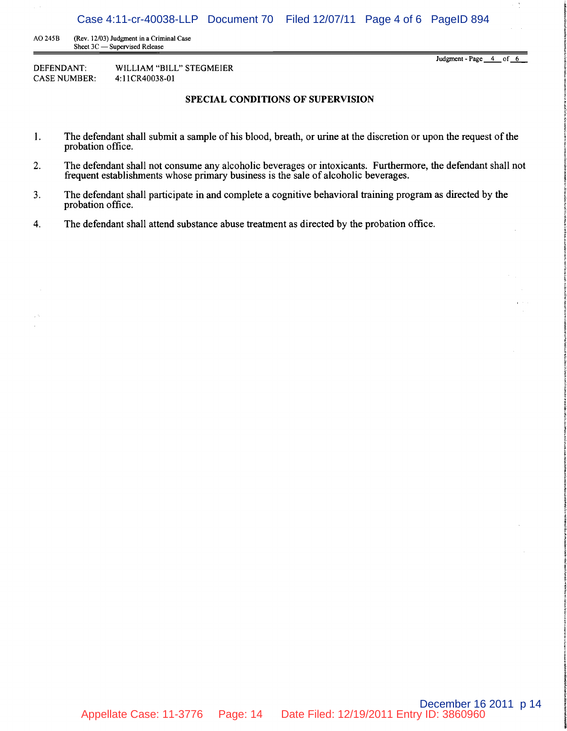Case 4:11-cr-40038-LLP Document 70 Filed 12/07/11 Page 4 of 6 PageID 894

AO 245B (Rev. 12/03) Judgment in a Criminal Case Sheet 3C - Supervised Release

DEFENDANT: WILLIAM "BILL" STEGMEIER CASE NUMBER: 4:11CR40038-01

Judgment - Page 4 of 6

 $\frac{\lambda}{2}$ 

### **SPECIAL CONDITIONS OF SUPERVISION**

- 1. The defendant shall submit a sample of his blood, breath, or urine at the discretion or upon the request of the probation office.
- 2. The defendant shall not consume any alcoholic beverages or intoxicants. Furthermore, the defendant shall not frequent establishments whose primary business is the sale of alcoholic beverages.
- 3. The defendant shall participate in and complete a cognitive behavioral training program as directed by the probation office.
- 4. The defendant shall attend substance abuse treatment as directed by the probation office.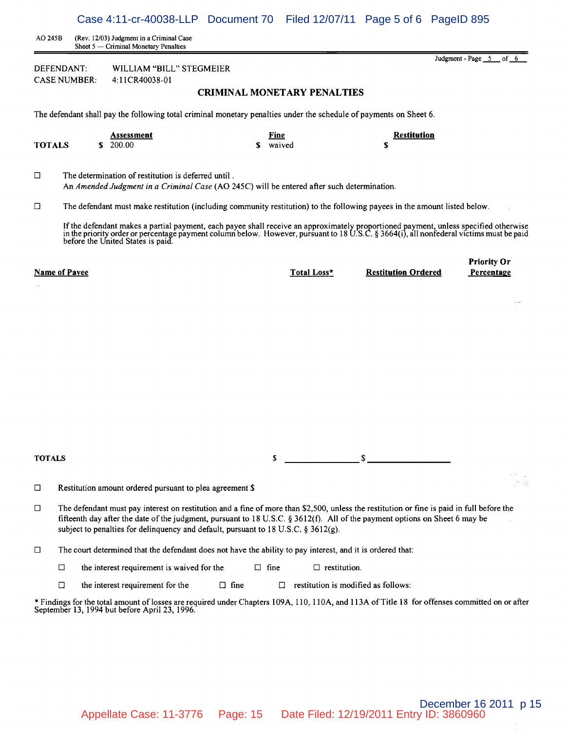AD 245B (Rev. 12/03) Judgment in a Criminal Case Sheet 5 - Criminal Monetary Penalties

DEFENDANT: WILLIAM "BILL" STEGMEIER CASE NUMBER: 4: 11 CR40038-01

### CRIMINAL MONETARY PENAL TIES

Case 4:11-cr-40038-LLP Document 70 Filed 12/07/11 Page 5 of 6 PageID 895

The defendant shall pay the following total criminal monetary penalties under the schedule of payments on Sheet 6.

|               | Assessment | Fine<br>$ -$ | <b>Restitution</b> |
|---------------|------------|--------------|--------------------|
| <b>TOTALS</b> | 200.00     | waived       |                    |

 $\square$  The determination of restitution is deferred until. An *Amended Judgment in a Criminal Case* (AO 245C) will be entered after such determination.

 $\Box$  The defendant must make restitution (including community restitution) to the following payees in the amount listed below.

If the defendant makes a partial payment, each payee shall receive an approximately proportioned payment, unless specified otherwise in the priority order or percentage payment column below. However, pursuant to 18 U.S.C. § 3664(i), all nonfederal victims must be paid<br>before the United States is paid.

|               | <b>Name of Payee</b> |                                                                                                                                                                                                                                                                                                                                                                | Total Loss*                         | <b>Restitution Ordered</b> | Percentage |
|---------------|----------------------|----------------------------------------------------------------------------------------------------------------------------------------------------------------------------------------------------------------------------------------------------------------------------------------------------------------------------------------------------------------|-------------------------------------|----------------------------|------------|
|               |                      |                                                                                                                                                                                                                                                                                                                                                                |                                     |                            |            |
|               |                      |                                                                                                                                                                                                                                                                                                                                                                |                                     |                            |            |
|               |                      |                                                                                                                                                                                                                                                                                                                                                                |                                     |                            |            |
|               |                      |                                                                                                                                                                                                                                                                                                                                                                |                                     |                            |            |
|               |                      |                                                                                                                                                                                                                                                                                                                                                                |                                     |                            |            |
|               |                      |                                                                                                                                                                                                                                                                                                                                                                |                                     |                            |            |
|               |                      |                                                                                                                                                                                                                                                                                                                                                                |                                     |                            |            |
|               |                      |                                                                                                                                                                                                                                                                                                                                                                |                                     |                            |            |
|               |                      |                                                                                                                                                                                                                                                                                                                                                                |                                     |                            |            |
| <b>TOTALS</b> |                      | \$                                                                                                                                                                                                                                                                                                                                                             |                                     | $\mathbf{s}$               |            |
|               |                      |                                                                                                                                                                                                                                                                                                                                                                |                                     |                            |            |
| □             |                      | Restitution amount ordered pursuant to plea agreement \$                                                                                                                                                                                                                                                                                                       |                                     |                            |            |
| □             |                      | The defendant must pay interest on restitution and a fine of more than \$2,500, unless the restitution or fine is paid in full before the<br>fifteenth day after the date of the judgment, pursuant to 18 U.S.C. § 3612(f). All of the payment options on Sheet 6 may be<br>subject to penalties for delinquency and default, pursuant to 18 U.S.C. § 3612(g). |                                     |                            |            |
| □             |                      | The court determined that the defendant does not have the ability to pay interest, and it is ordered that:                                                                                                                                                                                                                                                     |                                     |                            |            |
|               | $\Box$               | $\Box$ fine<br>the interest requirement is waived for the                                                                                                                                                                                                                                                                                                      | $\Box$ restitution.                 |                            |            |
|               | $\Box$               | $\Box$ fine<br>the interest requirement for the<br>◘                                                                                                                                                                                                                                                                                                           | restitution is modified as follows: |                            |            |
|               |                      | * Findings for the total amount of losses are required under Chapters 109A, 110, 110A, and 113A of Title 18 for offenses committed on or after<br>September 13, 1994 but before April 23, 1996.                                                                                                                                                                |                                     |                            |            |
|               |                      |                                                                                                                                                                                                                                                                                                                                                                |                                     |                            |            |
|               |                      |                                                                                                                                                                                                                                                                                                                                                                |                                     |                            |            |
|               |                      |                                                                                                                                                                                                                                                                                                                                                                |                                     |                            |            |

Judgment - Page  $\quad 5$  of 6

Priority Or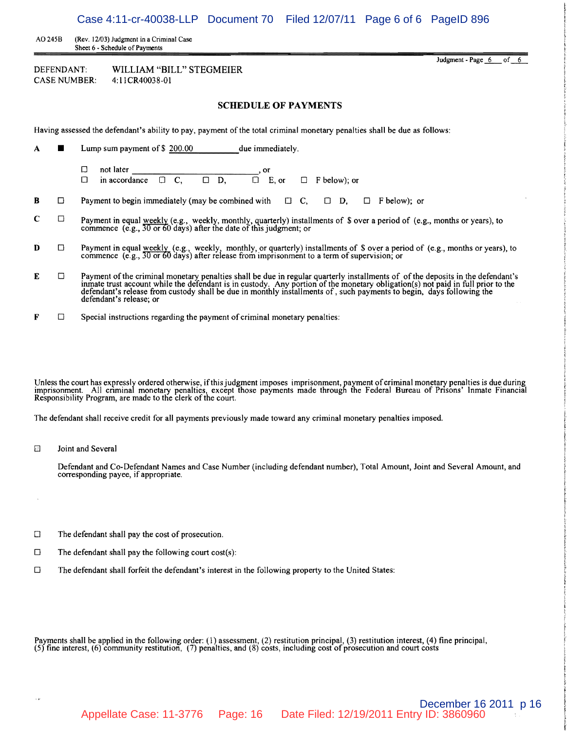Case 4:11-cr-40038-LLP Document 70 Filed 12/07/11 Page 6 of 6 PageID 896

Judgment - Page  $6$  of  $6$ 

AO 245B (Rev. 12/03) Judgment in a Criminal Case Sheet 6 • Schedule of Payments

| DEFENDANT:   | WILLIAM "BILL" STEGMEIER |
|--------------|--------------------------|
| CASE NUMBER: | 4:11CR40038-01           |

#### **SCHEDULE OF PAYMENTS**

Having assessed the defendant's ability to pay, payment of the total criminal monetary penalties shall be due as follows:

- A  $\blacksquare$  Lump sum payment of \$ 200.00 due immediately.
	- <sup>o</sup>not later \_\_\_\_\_\_\_\_\_\_\_\_\_, or  $\Box$  in accordance  $\Box$  C,  $\Box$  D,  $\Box$  E, or  $\Box$  F below); or
- **B**  $\Box$  Payment to begin immediately (may be combined with  $\Box$  C,  $\Box$  D,  $\Box$  F below); or
- **C** Payment in equal <u>weekly</u> (e.g., weekly, monthly, quarterly) installments of \$ over a period of (e.g., months or years), to commence (e.g.,  $\frac{30 \text{ or } 60 \text{ days}}{30 \text{ or } 60 \text{ days}}$ ) after the date of this judgment; or
- **D**  $\Box$  Payment in equal <u>weekly</u> (e.g., weekly, monthly, or quarterly) installments of \$ over a period of (e.g., months or years), to commence (e.g.,  $\overline{30}$  or 60 days) after release from imprisonment to a term of su
- $E$   $\Box$  Payment of the criminal monetary penalties shall be due in regular quarterly installments of of the deposits in the defendant's inmate trust account while the defendant is in custody. Any portion of the monetary defendant's release; or
- $\mathbf{F}$   $\Box$  Special instructions regarding the payment of criminal monetary penalties:

Unless the court has expressly ordered otherwise, if this judgment imposes imprisonment, payment of criminal monetary penalties is due during imprisonment. All criminal monetary penalties, except those payments made through the Federal Bureau of Prisons' Inmate Financial Responsibility Program, are made to tne clerk of the court.

The defendant shall receive credit for all payments previously made toward any criminal monetary penalties imposed.

[] Joint and Several

Defendant and Co-Defendant Names and Case Number (including defendant number), Total Amount, Joint and Several Amount, and corresponding payee, if appropriate.

- $\square$  The defendant shall pay the cost of prosecution.
- $\square$  The defendant shall pay the following court cost(s):
- $\Box$  The defendant shall forfeit the defendant's interest in the following property to the United States:

Payments shall be applied in the following order: (1) assessment, (2) restitution principal, (3) restitution interest, (4) fine principal, (5) fine interest, (6) community restitution, (7) penalties, and (8) costs, includ

December 16 2011 p 16 Appellate Case: 11-3776 Page: 16 Date Filed: 12/19/2011 Entry ID: 3860960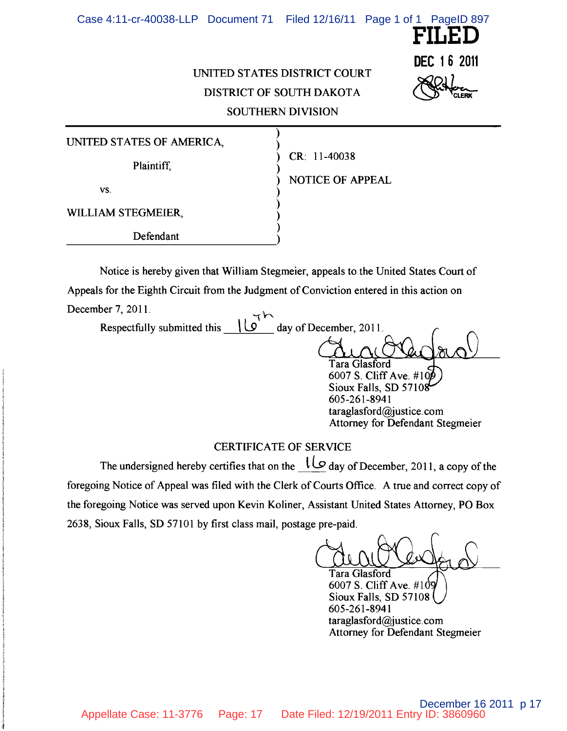

# UNITED STATES DISTRICT COURT DISTRICT OF SOUTH DAKOTA SOUTHERN DIVISION

)

) )

)

) <u>i</u>

UNITED STATES OF AMERICA,

Plaintiff,

vs.  $\qquad \qquad$  )

WILLIAM STEGMEIER,

Defendant Defendant

CR: 11-40038

) NOTICE OF APPEAL

Notice is hereby given that William Stegmeier, appeals to the United States Court of Appeals for the Eighth Circuit from the Judgment of Conviction entered in this action on December 7, 2011.

Respectfully submitted this  $\sqrt{9}$  day of December, 2011. Tara Glasford 6007 S. Cliff Ave. #10 Sioux Falls, SD 5710 605-261-8941 taraglasford@justice.com Attorney for Defendant Stegmeier

# CERTIFICATE OF SERVICE

The undersigned hereby certifies that on the  $\frac{10}{9}$  day of December, 2011, a copy of the foregoing Notice of Appeal was filed with the Clerk of Courts Office. A true and correct copy of the foregoing Notice was served upon Kevin Koliner, Assistant United States Attorney, PO Box 2638, Sioux Falls, SD 57101 by first class mail, postage pre-paid.

Tara Glasford

6007 S. Cliff Ave. #1 Sioux Falls, SD 57108 605-261-8941 taraglasford@justice.com Attorney for Defendant Stegmeier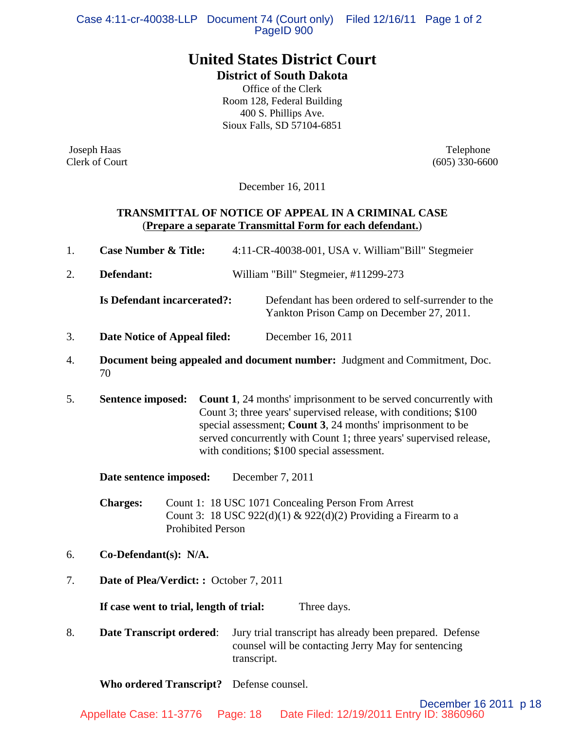Case 4:11-cr-40038-LLP Document 74 (Court only) Filed 12/16/11 Page 1 of 2 PageID 900

# **United States District Court**

**District of South Dakota**

Office of the Clerk Room 128, Federal Building 400 S. Phillips Ave. Sioux Falls, SD 57104-6851

Joseph Haas Telephone

Clerk of Court (605) 330-6600

December 16, 2011

# **TRANSMITTAL OF NOTICE OF APPEAL IN A CRIMINAL CASE** (**Prepare a separate Transmittal Form for each defendant.**)

|  | <b>Case Number &amp; Title:</b> | 4:11-CR-40038-001, USA v. William"Bill" Stegmeier |
|--|---------------------------------|---------------------------------------------------|
|--|---------------------------------|---------------------------------------------------|

2. **Defendant:** William "Bill" Stegmeier, #11299-273

**Is Defendant incarcerated?:** Defendant has been ordered to self-surrender to the Yankton Prison Camp on December 27, 2011.

- 3. **Date Notice of Appeal filed:** December 16, 2011
- 4. **Document being appealed and document number:** Judgment and Commitment, Doc. 70
- 5. **Sentence imposed: Count 1**, 24 months' imprisonment to be served concurrently with Count 3; three years' supervised release, with conditions; \$100 special assessment; **Count 3**, 24 months' imprisonment to be served concurrently with Count 1; three years' supervised release, with conditions; \$100 special assessment.

**Date sentence imposed:** December 7, 2011

**Charges:** Count 1:18 USC 1071 Concealing Person From Arrest Count 3: 18 USC 922(d)(1) & 922(d)(2) Providing a Firearm to a Prohibited Person

- 6. **Co-Defendant(s): N/A.**
- 7. **Date of Plea/Verdict: :** October 7, 2011

**If case went to trial, length of trial:** Three days.

8. **Date Transcript ordered**: Jury trial transcript has already been prepared. Defense counsel will be contacting Jerry May for sentencing transcript.

**Who ordered Transcript?** Defense counsel.

December 16 2011 p 18 Appellate Case: 11-3776 Page: 18 Date Filed: 12/19/2011 Entry ID: 3860960